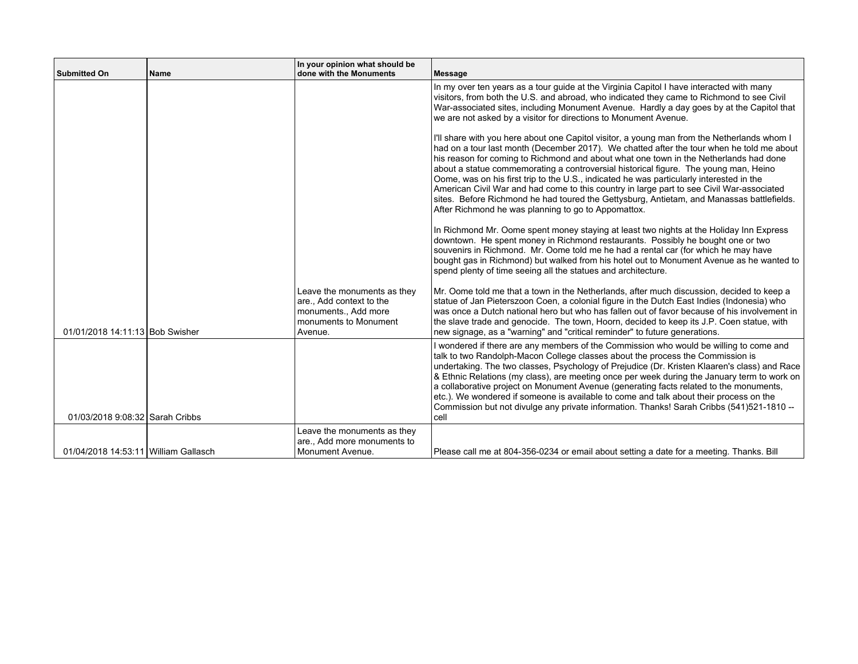| <b>Submitted On</b>                  | <b>Name</b> | In your opinion what should be<br>done with the Monuments                                                           | Message                                                                                                                                                                                                                                                                                                                                                                                                                                                                                                                                                                                                                                                                                                                |
|--------------------------------------|-------------|---------------------------------------------------------------------------------------------------------------------|------------------------------------------------------------------------------------------------------------------------------------------------------------------------------------------------------------------------------------------------------------------------------------------------------------------------------------------------------------------------------------------------------------------------------------------------------------------------------------------------------------------------------------------------------------------------------------------------------------------------------------------------------------------------------------------------------------------------|
|                                      |             |                                                                                                                     | In my over ten years as a tour guide at the Virginia Capitol I have interacted with many<br>visitors, from both the U.S. and abroad, who indicated they came to Richmond to see Civil<br>War-associated sites, including Monument Avenue. Hardly a day goes by at the Capitol that<br>we are not asked by a visitor for directions to Monument Avenue.                                                                                                                                                                                                                                                                                                                                                                 |
|                                      |             |                                                                                                                     | I'll share with you here about one Capitol visitor, a young man from the Netherlands whom I<br>had on a tour last month (December 2017). We chatted after the tour when he told me about<br>his reason for coming to Richmond and about what one town in the Netherlands had done<br>about a statue commemorating a controversial historical figure. The young man, Heino<br>Oome, was on his first trip to the U.S., indicated he was particularly interested in the<br>American Civil War and had come to this country in large part to see Civil War-associated<br>sites. Before Richmond he had toured the Gettysburg, Antietam, and Manassas battlefields.<br>After Richmond he was planning to go to Appomattox. |
|                                      |             |                                                                                                                     | In Richmond Mr. Oome spent money staying at least two nights at the Holiday Inn Express<br>downtown. He spent money in Richmond restaurants. Possibly he bought one or two<br>souvenirs in Richmond. Mr. Oome told me he had a rental car (for which he may have<br>bought gas in Richmond) but walked from his hotel out to Monument Avenue as he wanted to<br>spend plenty of time seeing all the statues and architecture.                                                                                                                                                                                                                                                                                          |
| 01/01/2018 14:11:13 Bob Swisher      |             | Leave the monuments as they<br>are., Add context to the<br>monuments., Add more<br>monuments to Monument<br>Avenue. | Mr. Oome told me that a town in the Netherlands, after much discussion, decided to keep a<br>statue of Jan Pieterszoon Coen, a colonial figure in the Dutch East Indies (Indonesia) who<br>was once a Dutch national hero but who has fallen out of favor because of his involvement in<br>the slave trade and genocide. The town, Hoorn, decided to keep its J.P. Coen statue, with<br>new signage, as a "warning" and "critical reminder" to future generations.                                                                                                                                                                                                                                                     |
| 01/03/2018 9:08:32 Sarah Cribbs      |             |                                                                                                                     | I wondered if there are any members of the Commission who would be willing to come and<br>talk to two Randolph-Macon College classes about the process the Commission is<br>undertaking. The two classes, Psychology of Prejudice (Dr. Kristen Klaaren's class) and Race<br>& Ethnic Relations (my class), are meeting once per week during the January term to work on<br>a collaborative project on Monument Avenue (generating facts related to the monuments,<br>etc.). We wondered if someone is available to come and talk about their process on the<br>Commission but not divulge any private information. Thanks! Sarah Cribbs (541)521-1810 --<br>cell                                                       |
| 01/04/2018 14:53:11 William Gallasch |             | Leave the monuments as they<br>are., Add more monuments to<br>Monument Avenue.                                      | Please call me at 804-356-0234 or email about setting a date for a meeting. Thanks. Bill                                                                                                                                                                                                                                                                                                                                                                                                                                                                                                                                                                                                                               |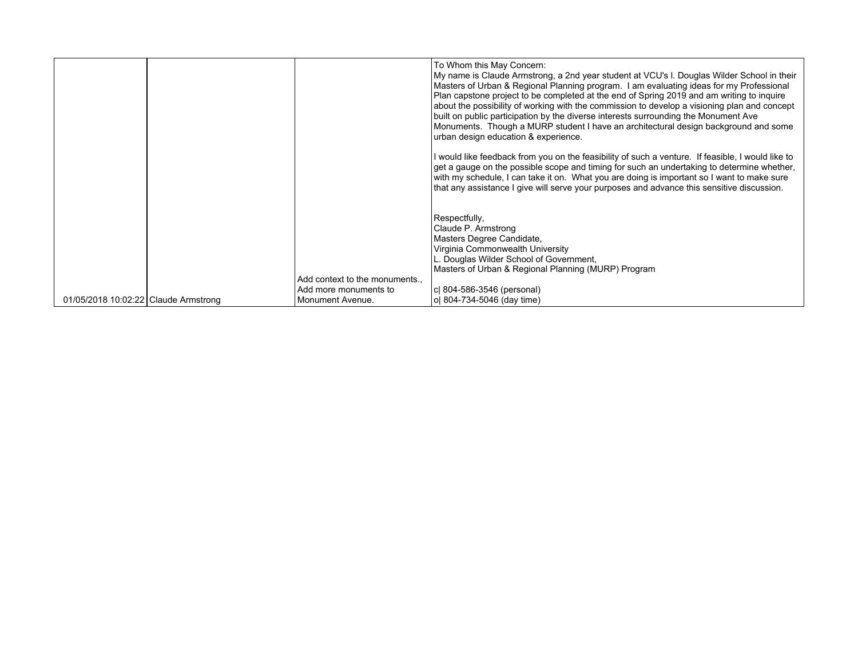|                                      |                                                       | To Whom this May Concern:<br>My name is Claude Armstrong, a 2nd year student at VCU's I. Douglas Wilder School in their<br>Masters of Urban & Regional Planning program. I am evaluating ideas for my Professional<br>Plan capstone project to be completed at the end of Spring 2019 and am writing to inquire<br>about the possibility of working with the commission to develop a visioning plan and concept<br>built on public participation by the diverse interests surrounding the Monument Ave<br>Monuments. Though a MURP student I have an architectural design background and some<br>urban design education & experience. |
|--------------------------------------|-------------------------------------------------------|---------------------------------------------------------------------------------------------------------------------------------------------------------------------------------------------------------------------------------------------------------------------------------------------------------------------------------------------------------------------------------------------------------------------------------------------------------------------------------------------------------------------------------------------------------------------------------------------------------------------------------------|
|                                      |                                                       | I would like feedback from you on the feasibility of such a venture. If feasible, I would like to<br>get a gauge on the possible scope and timing for such an undertaking to determine whether,<br>with my schedule, I can take it on. What you are doing is important so I want to make sure<br>that any assistance I give will serve your purposes and advance this sensitive discussion.                                                                                                                                                                                                                                           |
|                                      |                                                       | Respectfully,<br>Claude P. Armstrong<br>Masters Degree Candidate,<br>Virginia Commonwealth University<br>L. Douglas Wilder School of Government,<br>Masters of Urban & Regional Planning (MURP) Program                                                                                                                                                                                                                                                                                                                                                                                                                               |
|                                      | Add context to the monuments<br>Add more monuments to | c  804-586-3546 (personal)                                                                                                                                                                                                                                                                                                                                                                                                                                                                                                                                                                                                            |
| 01/05/2018 10:02:22 Claude Armstrong | Monument Avenue.                                      | ol 804-734-5046 (day time)                                                                                                                                                                                                                                                                                                                                                                                                                                                                                                                                                                                                            |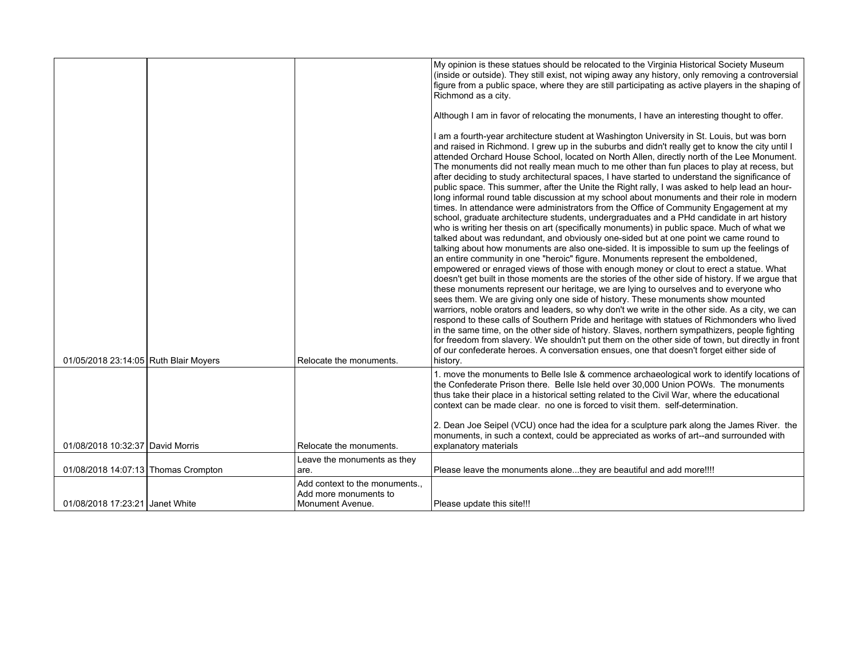|                                       |                                                                           | My opinion is these statues should be relocated to the Virginia Historical Society Museum<br>(inside or outside). They still exist, not wiping away any history, only removing a controversial<br>figure from a public space, where they are still participating as active players in the shaping of<br>Richmond as a city.                                                                                                                                                                                                                                                                                                                                                                                                                                                                                                                                                                                                                                                                                                                                                                                                                                                                                                                                                                                                                                                                                                                                                                                                                                                                                                                                                                                                                                                                                                                                                                                                                                                                                                                                                                                                              |
|---------------------------------------|---------------------------------------------------------------------------|------------------------------------------------------------------------------------------------------------------------------------------------------------------------------------------------------------------------------------------------------------------------------------------------------------------------------------------------------------------------------------------------------------------------------------------------------------------------------------------------------------------------------------------------------------------------------------------------------------------------------------------------------------------------------------------------------------------------------------------------------------------------------------------------------------------------------------------------------------------------------------------------------------------------------------------------------------------------------------------------------------------------------------------------------------------------------------------------------------------------------------------------------------------------------------------------------------------------------------------------------------------------------------------------------------------------------------------------------------------------------------------------------------------------------------------------------------------------------------------------------------------------------------------------------------------------------------------------------------------------------------------------------------------------------------------------------------------------------------------------------------------------------------------------------------------------------------------------------------------------------------------------------------------------------------------------------------------------------------------------------------------------------------------------------------------------------------------------------------------------------------------|
|                                       |                                                                           | Although I am in favor of relocating the monuments, I have an interesting thought to offer.                                                                                                                                                                                                                                                                                                                                                                                                                                                                                                                                                                                                                                                                                                                                                                                                                                                                                                                                                                                                                                                                                                                                                                                                                                                                                                                                                                                                                                                                                                                                                                                                                                                                                                                                                                                                                                                                                                                                                                                                                                              |
|                                       |                                                                           | I am a fourth-year architecture student at Washington University in St. Louis, but was born<br>and raised in Richmond. I grew up in the suburbs and didn't really get to know the city until I<br>attended Orchard House School, located on North Allen, directly north of the Lee Monument.<br>The monuments did not really mean much to me other than fun places to play at recess, but<br>after deciding to study architectural spaces, I have started to understand the significance of<br>public space. This summer, after the Unite the Right rally, I was asked to help lead an hour-<br>long informal round table discussion at my school about monuments and their role in modern<br>times. In attendance were administrators from the Office of Community Engagement at my<br>school, graduate architecture students, undergraduates and a PHd candidate in art history<br>who is writing her thesis on art (specifically monuments) in public space. Much of what we<br>talked about was redundant, and obviously one-sided but at one point we came round to<br>talking about how monuments are also one-sided. It is impossible to sum up the feelings of<br>an entire community in one "heroic" figure. Monuments represent the emboldened,<br>empowered or enraged views of those with enough money or clout to erect a statue. What<br>doesn't get built in those moments are the stories of the other side of history. If we argue that<br>these monuments represent our heritage, we are lying to ourselves and to everyone who<br>sees them. We are giving only one side of history. These monuments show mounted<br>warriors, noble orators and leaders, so why don't we write in the other side. As a city, we can<br>respond to these calls of Southern Pride and heritage with statues of Richmonders who lived<br>in the same time, on the other side of history. Slaves, northern sympathizers, people fighting<br>for freedom from slavery. We shouldn't put them on the other side of town, but directly in front<br>of our confederate heroes. A conversation ensues, one that doesn't forget either side of |
| 01/05/2018 23:14:05 Ruth Blair Moyers | Relocate the monuments.                                                   | history.                                                                                                                                                                                                                                                                                                                                                                                                                                                                                                                                                                                                                                                                                                                                                                                                                                                                                                                                                                                                                                                                                                                                                                                                                                                                                                                                                                                                                                                                                                                                                                                                                                                                                                                                                                                                                                                                                                                                                                                                                                                                                                                                 |
|                                       |                                                                           | 1. move the monuments to Belle Isle & commence archaeological work to identify locations of<br>the Confederate Prison there. Belle Isle held over 30,000 Union POWs. The monuments<br>thus take their place in a historical setting related to the Civil War, where the educational<br>context can be made clear. no one is forced to visit them. self-determination.                                                                                                                                                                                                                                                                                                                                                                                                                                                                                                                                                                                                                                                                                                                                                                                                                                                                                                                                                                                                                                                                                                                                                                                                                                                                                                                                                                                                                                                                                                                                                                                                                                                                                                                                                                    |
|                                       |                                                                           | 2. Dean Joe Seipel (VCU) once had the idea for a sculpture park along the James River. the                                                                                                                                                                                                                                                                                                                                                                                                                                                                                                                                                                                                                                                                                                                                                                                                                                                                                                                                                                                                                                                                                                                                                                                                                                                                                                                                                                                                                                                                                                                                                                                                                                                                                                                                                                                                                                                                                                                                                                                                                                               |
| 01/08/2018 10:32:37 David Morris      | Relocate the monuments.                                                   | monuments, in such a context, could be appreciated as works of art--and surrounded with<br>explanatory materials                                                                                                                                                                                                                                                                                                                                                                                                                                                                                                                                                                                                                                                                                                                                                                                                                                                                                                                                                                                                                                                                                                                                                                                                                                                                                                                                                                                                                                                                                                                                                                                                                                                                                                                                                                                                                                                                                                                                                                                                                         |
|                                       | Leave the monuments as they                                               |                                                                                                                                                                                                                                                                                                                                                                                                                                                                                                                                                                                                                                                                                                                                                                                                                                                                                                                                                                                                                                                                                                                                                                                                                                                                                                                                                                                                                                                                                                                                                                                                                                                                                                                                                                                                                                                                                                                                                                                                                                                                                                                                          |
| 01/08/2018 14:07:13 Thomas Crompton   | are.                                                                      | Please leave the monuments alonethey are beautiful and add more!!!!                                                                                                                                                                                                                                                                                                                                                                                                                                                                                                                                                                                                                                                                                                                                                                                                                                                                                                                                                                                                                                                                                                                                                                                                                                                                                                                                                                                                                                                                                                                                                                                                                                                                                                                                                                                                                                                                                                                                                                                                                                                                      |
| 01/08/2018 17:23:21 Janet White       | Add context to the monuments<br>Add more monuments to<br>Monument Avenue. | Please update this site!!!                                                                                                                                                                                                                                                                                                                                                                                                                                                                                                                                                                                                                                                                                                                                                                                                                                                                                                                                                                                                                                                                                                                                                                                                                                                                                                                                                                                                                                                                                                                                                                                                                                                                                                                                                                                                                                                                                                                                                                                                                                                                                                               |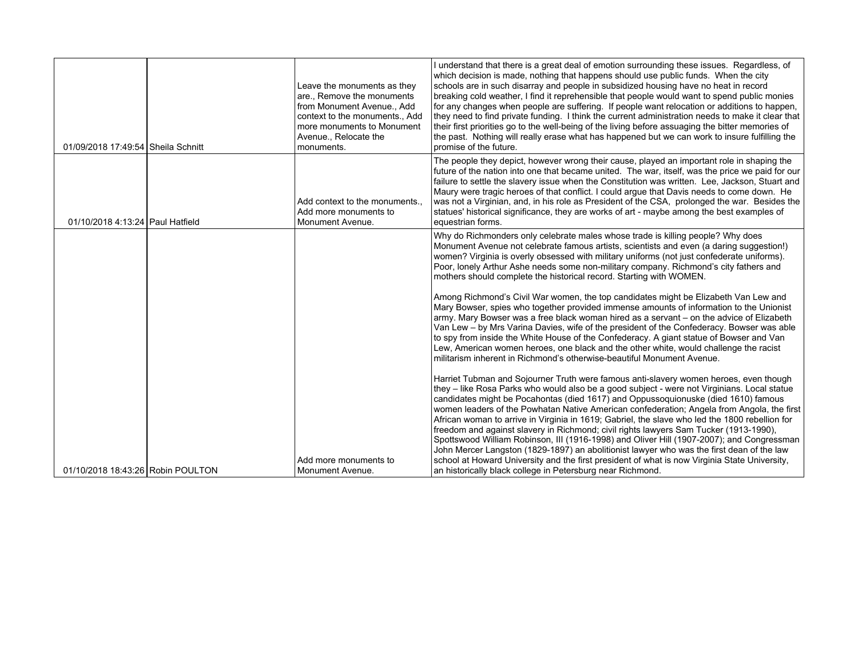| 01/09/2018 17:49:54 Sheila Schnitt | Leave the monuments as they<br>are., Remove the monuments<br>from Monument Avenue Add<br>context to the monuments., Add<br>more monuments to Monument<br>Avenue., Relocate the<br>monuments. | I understand that there is a great deal of emotion surrounding these issues. Regardless, of<br>which decision is made, nothing that happens should use public funds. When the city<br>schools are in such disarray and people in subsidized housing have no heat in record<br>breaking cold weather, I find it reprehensible that people would want to spend public monies<br>for any changes when people are suffering. If people want relocation or additions to happen,<br>they need to find private funding. I think the current administration needs to make it clear that<br>their first priorities go to the well-being of the living before assuaging the bitter memories of<br>the past. Nothing will really erase what has happened but we can work to insure fulfilling the<br>promise of the future.                                                                                                                                                                                                                                                                                |
|------------------------------------|----------------------------------------------------------------------------------------------------------------------------------------------------------------------------------------------|-------------------------------------------------------------------------------------------------------------------------------------------------------------------------------------------------------------------------------------------------------------------------------------------------------------------------------------------------------------------------------------------------------------------------------------------------------------------------------------------------------------------------------------------------------------------------------------------------------------------------------------------------------------------------------------------------------------------------------------------------------------------------------------------------------------------------------------------------------------------------------------------------------------------------------------------------------------------------------------------------------------------------------------------------------------------------------------------------|
| 01/10/2018 4:13:24 Paul Hatfield   | Add context to the monuments.<br>Add more monuments to<br>Monument Avenue.                                                                                                                   | The people they depict, however wrong their cause, played an important role in shaping the<br>future of the nation into one that became united. The war, itself, was the price we paid for our<br>failure to settle the slavery issue when the Constitution was written. Lee, Jackson, Stuart and<br>Maury were tragic heroes of that conflict. I could argue that Davis needs to come down. He<br>was not a Virginian, and, in his role as President of the CSA, prolonged the war. Besides the<br>statues' historical significance, they are works of art - maybe among the best examples of<br>equestrian forms.                                                                                                                                                                                                                                                                                                                                                                                                                                                                             |
|                                    |                                                                                                                                                                                              | Why do Richmonders only celebrate males whose trade is killing people? Why does<br>Monument Avenue not celebrate famous artists, scientists and even (a daring suggestion!)<br>women? Virginia is overly obsessed with military uniforms (not just confederate uniforms).<br>Poor, lonely Arthur Ashe needs some non-military company. Richmond's city fathers and<br>mothers should complete the historical record. Starting with WOMEN.<br>Among Richmond's Civil War women, the top candidates might be Elizabeth Van Lew and<br>Mary Bowser, spies who together provided immense amounts of information to the Unionist<br>army. Mary Bowser was a free black woman hired as a servant – on the advice of Elizabeth<br>Van Lew - by Mrs Varina Davies, wife of the president of the Confederacy. Bowser was able<br>to spy from inside the White House of the Confederacy. A giant statue of Bowser and Van                                                                                                                                                                                 |
| 01/10/2018 18:43:26 Robin POULTON  | Add more monuments to<br>Monument Avenue.                                                                                                                                                    | Lew, American women heroes, one black and the other white, would challenge the racist<br>militarism inherent in Richmond's otherwise-beautiful Monument Avenue.<br>Harriet Tubman and Sojourner Truth were famous anti-slavery women heroes, even though<br>they - like Rosa Parks who would also be a good subject - were not Virginians. Local statue<br>candidates might be Pocahontas (died 1617) and Oppussoquionuske (died 1610) famous<br>women leaders of the Powhatan Native American confederation; Angela from Angola, the first<br>African woman to arrive in Virginia in 1619; Gabriel, the slave who led the 1800 rebellion for<br>freedom and against slavery in Richmond; civil rights lawyers Sam Tucker (1913-1990),<br>Spottswood William Robinson, III (1916-1998) and Oliver Hill (1907-2007); and Congressman<br>John Mercer Langston (1829-1897) an abolitionist lawyer who was the first dean of the law<br>school at Howard University and the first president of what is now Virginia State University,<br>an historically black college in Petersburg near Richmond. |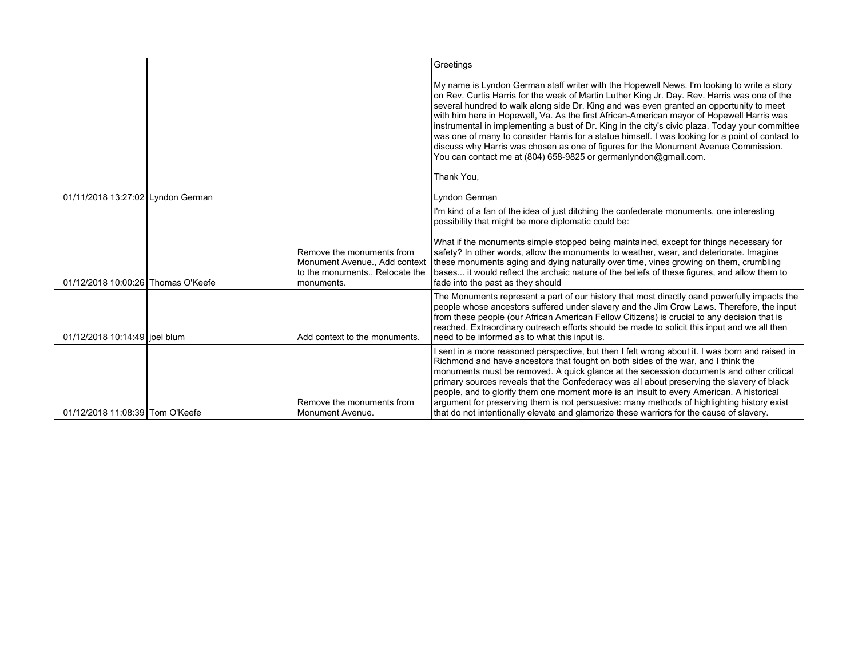|                                    |                                                                                                             | Greetings                                                                                                                                                                                                                                                                                                                                                                                                                                                                                                                                                                                                                                                                                                                                           |
|------------------------------------|-------------------------------------------------------------------------------------------------------------|-----------------------------------------------------------------------------------------------------------------------------------------------------------------------------------------------------------------------------------------------------------------------------------------------------------------------------------------------------------------------------------------------------------------------------------------------------------------------------------------------------------------------------------------------------------------------------------------------------------------------------------------------------------------------------------------------------------------------------------------------------|
|                                    |                                                                                                             | My name is Lyndon German staff writer with the Hopewell News. I'm looking to write a story<br>on Rev. Curtis Harris for the week of Martin Luther King Jr. Day. Rev. Harris was one of the<br>several hundred to walk along side Dr. King and was even granted an opportunity to meet<br>with him here in Hopewell, Va. As the first African-American mayor of Hopewell Harris was<br>instrumental in implementing a bust of Dr. King in the city's civic plaza. Today your committee<br>was one of many to consider Harris for a statue himself. I was looking for a point of contact to<br>discuss why Harris was chosen as one of figures for the Monument Avenue Commission.<br>You can contact me at (804) 658-9825 or germanlyndon@gmail.com. |
|                                    |                                                                                                             | Thank You,                                                                                                                                                                                                                                                                                                                                                                                                                                                                                                                                                                                                                                                                                                                                          |
| 01/11/2018 13:27:02 Lyndon German  |                                                                                                             | Lyndon German                                                                                                                                                                                                                                                                                                                                                                                                                                                                                                                                                                                                                                                                                                                                       |
|                                    |                                                                                                             | I'm kind of a fan of the idea of just ditching the confederate monuments, one interesting<br>possibility that might be more diplomatic could be:                                                                                                                                                                                                                                                                                                                                                                                                                                                                                                                                                                                                    |
| 01/12/2018 10:00:26 Thomas O'Keefe | Remove the monuments from<br>Monument Avenue., Add context<br>to the monuments., Relocate the<br>monuments. | What if the monuments simple stopped being maintained, except for things necessary for<br>safety? In other words, allow the monuments to weather, wear, and deteriorate. Imagine<br>these monuments aging and dying naturally over time, vines growing on them, crumbling<br>bases it would reflect the archaic nature of the beliefs of these figures, and allow them to<br>fade into the past as they should                                                                                                                                                                                                                                                                                                                                      |
| 01/12/2018 10:14:49 joel blum      | Add context to the monuments.                                                                               | The Monuments represent a part of our history that most directly oand powerfully impacts the<br>people whose ancestors suffered under slavery and the Jim Crow Laws. Therefore, the input<br>from these people (our African American Fellow Citizens) is crucial to any decision that is<br>reached. Extraordinary outreach efforts should be made to solicit this input and we all then<br>need to be informed as to what this input is.                                                                                                                                                                                                                                                                                                           |
| 01/12/2018 11:08:39 Tom O'Keefe    | Remove the monuments from<br>Monument Avenue.                                                               | I sent in a more reasoned perspective, but then I felt wrong about it. I was born and raised in<br>Richmond and have ancestors that fought on both sides of the war, and I think the<br>monuments must be removed. A quick glance at the secession documents and other critical<br>primary sources reveals that the Confederacy was all about preserving the slavery of black<br>people, and to glorify them one moment more is an insult to every American. A historical<br>argument for preserving them is not persuasive: many methods of highlighting history exist<br>that do not intentionally elevate and glamorize these warriors for the cause of slavery.                                                                                 |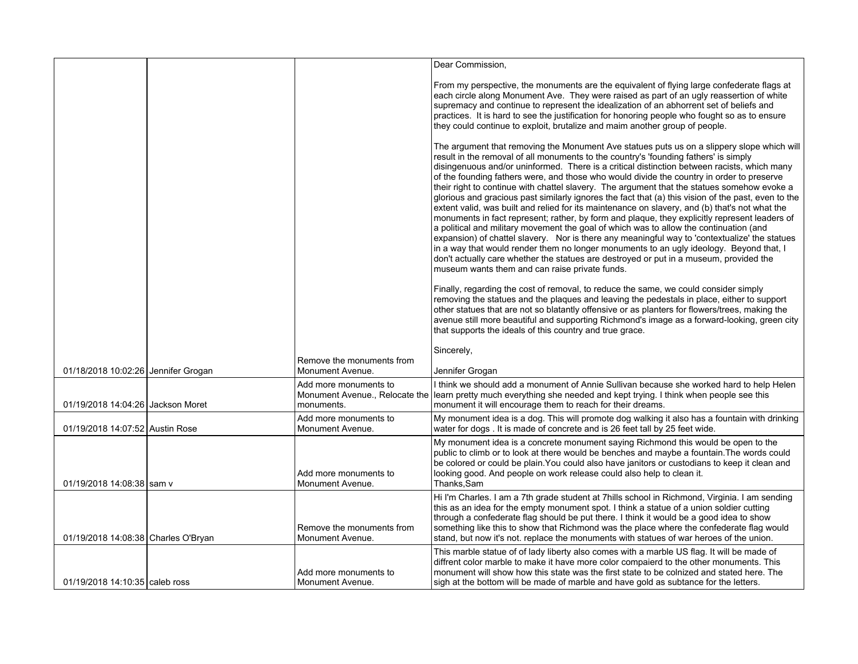|                                     |                                                                       | Dear Commission,                                                                                                                                                                                                                                                                                                                                                                                                                                                                                                                                                                                                                                                                                                                                                                                                                                                                                                                                                                                                                                                                                                                                                                                                          |
|-------------------------------------|-----------------------------------------------------------------------|---------------------------------------------------------------------------------------------------------------------------------------------------------------------------------------------------------------------------------------------------------------------------------------------------------------------------------------------------------------------------------------------------------------------------------------------------------------------------------------------------------------------------------------------------------------------------------------------------------------------------------------------------------------------------------------------------------------------------------------------------------------------------------------------------------------------------------------------------------------------------------------------------------------------------------------------------------------------------------------------------------------------------------------------------------------------------------------------------------------------------------------------------------------------------------------------------------------------------|
|                                     |                                                                       | From my perspective, the monuments are the equivalent of flying large confederate flags at<br>each circle along Monument Ave. They were raised as part of an ugly reassertion of white<br>supremacy and continue to represent the idealization of an abhorrent set of beliefs and<br>practices. It is hard to see the justification for honoring people who fought so as to ensure<br>they could continue to exploit, brutalize and maim another group of people.                                                                                                                                                                                                                                                                                                                                                                                                                                                                                                                                                                                                                                                                                                                                                         |
|                                     |                                                                       | The argument that removing the Monument Ave statues puts us on a slippery slope which will<br>result in the removal of all monuments to the country's 'founding fathers' is simply<br>disingenuous and/or uninformed. There is a critical distinction between racists, which many<br>of the founding fathers were, and those who would divide the country in order to preserve<br>their right to continue with chattel slavery. The argument that the statues somehow evoke a<br>glorious and gracious past similarly ignores the fact that (a) this vision of the past, even to the<br>extent valid, was built and relied for its maintenance on slavery, and (b) that's not what the<br>monuments in fact represent; rather, by form and plaque, they explicitly represent leaders of<br>a political and military movement the goal of which was to allow the continuation (and<br>expansion) of chattel slavery. Nor is there any meaningful way to 'contextualize' the statues<br>in a way that would render them no longer monuments to an ugly ideology. Beyond that, I<br>don't actually care whether the statues are destroyed or put in a museum, provided the<br>museum wants them and can raise private funds. |
|                                     |                                                                       | Finally, regarding the cost of removal, to reduce the same, we could consider simply<br>removing the statues and the plagues and leaving the pedestals in place, either to support<br>other statues that are not so blatantly offensive or as planters for flowers/trees, making the<br>avenue still more beautiful and supporting Richmond's image as a forward-looking, green city<br>that supports the ideals of this country and true grace.                                                                                                                                                                                                                                                                                                                                                                                                                                                                                                                                                                                                                                                                                                                                                                          |
|                                     |                                                                       | Sincerely,                                                                                                                                                                                                                                                                                                                                                                                                                                                                                                                                                                                                                                                                                                                                                                                                                                                                                                                                                                                                                                                                                                                                                                                                                |
| 01/18/2018 10:02:26 Jennifer Grogan | Remove the monuments from<br>Monument Avenue.                         | Jennifer Grogan                                                                                                                                                                                                                                                                                                                                                                                                                                                                                                                                                                                                                                                                                                                                                                                                                                                                                                                                                                                                                                                                                                                                                                                                           |
| 01/19/2018 14:04:26 Jackson Moret   | Add more monuments to<br>Monument Avenue., Relocate the<br>monuments. | I think we should add a monument of Annie Sullivan because she worked hard to help Helen<br>learn pretty much everything she needed and kept trying. I think when people see this<br>monument it will encourage them to reach for their dreams.                                                                                                                                                                                                                                                                                                                                                                                                                                                                                                                                                                                                                                                                                                                                                                                                                                                                                                                                                                           |
| 01/19/2018 14:07:52 Austin Rose     | Add more monuments to<br>Monument Avenue.                             | My monument idea is a dog. This will promote dog walking it also has a fountain with drinking<br>water for dogs. It is made of concrete and is 26 feet tall by 25 feet wide.                                                                                                                                                                                                                                                                                                                                                                                                                                                                                                                                                                                                                                                                                                                                                                                                                                                                                                                                                                                                                                              |
| 01/19/2018 14:08:38 sam v           | Add more monuments to<br>Monument Avenue.                             | My monument idea is a concrete monument saying Richmond this would be open to the<br>public to climb or to look at there would be benches and maybe a fountain. The words could<br>be colored or could be plain. You could also have janitors or custodians to keep it clean and<br>looking good. And people on work release could also help to clean it.<br>Thanks, Sam                                                                                                                                                                                                                                                                                                                                                                                                                                                                                                                                                                                                                                                                                                                                                                                                                                                  |
| 01/19/2018 14:08:38 Charles O'Bryan | Remove the monuments from<br>Monument Avenue.                         | Hi I'm Charles. I am a 7th grade student at 7 hills school in Richmond, Virginia. I am sending<br>this as an idea for the empty monument spot. I think a statue of a union soldier cutting<br>through a confederate flag should be put there. I think it would be a good idea to show<br>something like this to show that Richmond was the place where the confederate flag would<br>stand, but now it's not. replace the monuments with statues of war heroes of the union.                                                                                                                                                                                                                                                                                                                                                                                                                                                                                                                                                                                                                                                                                                                                              |
| 01/19/2018 14:10:35 caleb ross      | Add more monuments to<br>l Monument Avenue.                           | This marble statue of of lady liberty also comes with a marble US flag. It will be made of<br>diffrent color marble to make it have more color compaierd to the other monuments. This<br>monument will show how this state was the first state to be colnized and stated here. The<br>sigh at the bottom will be made of marble and have gold as subtance for the letters.                                                                                                                                                                                                                                                                                                                                                                                                                                                                                                                                                                                                                                                                                                                                                                                                                                                |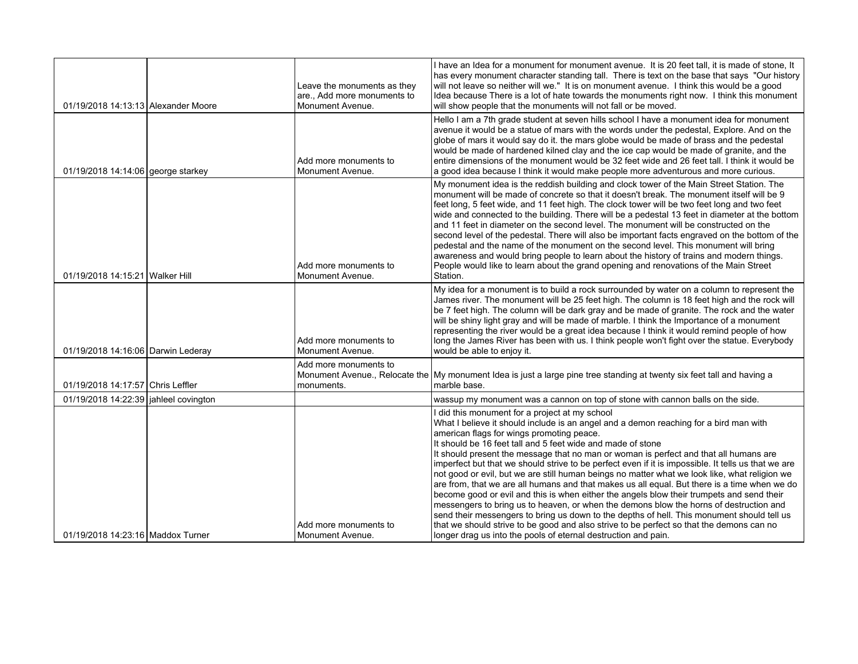|                                         | Leave the monuments as they<br>are., Add more monuments to | I have an Idea for a monument for monument avenue. It is 20 feet tall, it is made of stone, It<br>has every monument character standing tall. There is text on the base that says "Our history<br>will not leave so neither will we." It is on monument avenue. I think this would be a good<br>Idea because There is a lot of hate towards the monuments right now. I think this monument                                                                                                                                                                                                                                                                                                                                                                                                                                                                                                                                                                                                                                                                                                              |
|-----------------------------------------|------------------------------------------------------------|---------------------------------------------------------------------------------------------------------------------------------------------------------------------------------------------------------------------------------------------------------------------------------------------------------------------------------------------------------------------------------------------------------------------------------------------------------------------------------------------------------------------------------------------------------------------------------------------------------------------------------------------------------------------------------------------------------------------------------------------------------------------------------------------------------------------------------------------------------------------------------------------------------------------------------------------------------------------------------------------------------------------------------------------------------------------------------------------------------|
| 01/19/2018 14:13:13 Alexander Moore     | Monument Avenue.                                           | will show people that the monuments will not fall or be moved.                                                                                                                                                                                                                                                                                                                                                                                                                                                                                                                                                                                                                                                                                                                                                                                                                                                                                                                                                                                                                                          |
| 01/19/2018 14:14:06 george starkey      | Add more monuments to<br>Monument Avenue.                  | Hello I am a 7th grade student at seven hills school I have a monument idea for monument<br>avenue it would be a statue of mars with the words under the pedestal, Explore. And on the<br>globe of mars it would say do it. the mars globe would be made of brass and the pedestal<br>would be made of hardened kilned clay and the ice cap would be made of granite, and the<br>entire dimensions of the monument would be 32 feet wide and 26 feet tall. I think it would be<br>a good idea because I think it would make people more adventurous and more curious.                                                                                                                                                                                                                                                                                                                                                                                                                                                                                                                                   |
| 01/19/2018 14:15:21 Walker Hill         | Add more monuments to<br>Monument Avenue.                  | My monument idea is the reddish building and clock tower of the Main Street Station. The<br>monument will be made of concrete so that it doesn't break. The monument itself will be 9<br>feet long, 5 feet wide, and 11 feet high. The clock tower will be two feet long and two feet<br>wide and connected to the building. There will be a pedestal 13 feet in diameter at the bottom<br>and 11 feet in diameter on the second level. The monument will be constructed on the<br>second level of the pedestal. There will also be important facts engraved on the bottom of the<br>pedestal and the name of the monument on the second level. This monument will bring<br>awareness and would bring people to learn about the history of trains and modern things.<br>People would like to learn about the grand opening and renovations of the Main Street<br>Station.                                                                                                                                                                                                                               |
| 01/19/2018 14:16:06 Darwin Lederay      | Add more monuments to<br>Monument Avenue.                  | My idea for a monument is to build a rock surrounded by water on a column to represent the<br>James river. The monument will be 25 feet high. The column is 18 feet high and the rock will<br>be 7 feet high. The column will be dark gray and be made of granite. The rock and the water<br>will be shiny light gray and will be made of marble. I think the Importance of a monument<br>representing the river would be a great idea because I think it would remind people of how<br>long the James River has been with us. I think people won't fight over the statue. Everybody<br>would be able to enjoy it.                                                                                                                                                                                                                                                                                                                                                                                                                                                                                      |
| 01/19/2018 14:17:57 Chris Leffler       | Add more monuments to<br>monuments.                        | Monument Avenue., Relocate the My monument Idea is just a large pine tree standing at twenty six feet tall and having a<br>marble base.                                                                                                                                                                                                                                                                                                                                                                                                                                                                                                                                                                                                                                                                                                                                                                                                                                                                                                                                                                 |
| 01/19/2018 14:22:39   jahleel covington |                                                            | wassup my monument was a cannon on top of stone with cannon balls on the side.                                                                                                                                                                                                                                                                                                                                                                                                                                                                                                                                                                                                                                                                                                                                                                                                                                                                                                                                                                                                                          |
| 01/19/2018 14:23:16 Maddox Turner       | Add more monuments to<br>Monument Avenue.                  | I did this monument for a project at my school<br>What I believe it should include is an angel and a demon reaching for a bird man with<br>american flags for wings promoting peace.<br>It should be 16 feet tall and 5 feet wide and made of stone<br>It should present the message that no man or woman is perfect and that all humans are<br>imperfect but that we should strive to be perfect even if it is impossible. It tells us that we are<br>not good or evil, but we are still human beings no matter what we look like, what religion we<br>are from, that we are all humans and that makes us all equal. But there is a time when we do<br>become good or evil and this is when either the angels blow their trumpets and send their<br>messengers to bring us to heaven, or when the demons blow the horns of destruction and<br>send their messengers to bring us down to the depths of hell. This monument should tell us<br>that we should strive to be good and also strive to be perfect so that the demons can no<br>longer drag us into the pools of eternal destruction and pain. |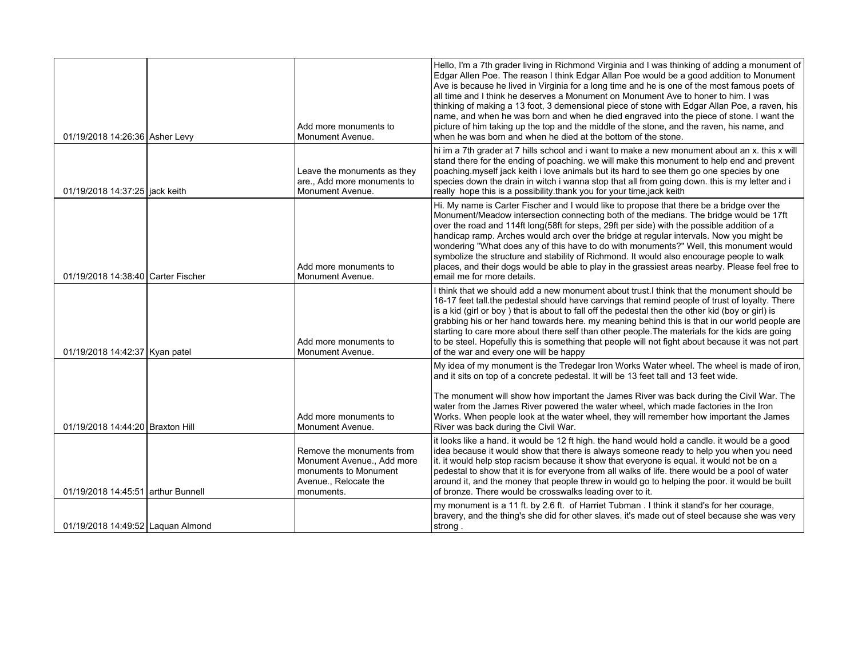| 01/19/2018 14:26:36 Asher Levy     | Add more monuments to<br>Monument Avenue.                                                                               | Hello, I'm a 7th grader living in Richmond Virginia and I was thinking of adding a monument of<br>Edgar Allen Poe. The reason I think Edgar Allan Poe would be a good addition to Monument<br>Ave is because he lived in Virginia for a long time and he is one of the most famous poets of<br>all time and I think he deserves a Monument on Monument Ave to honer to him. I was<br>thinking of making a 13 foot, 3 demensional piece of stone with Edgar Allan Poe, a raven, his<br>name, and when he was born and when he died engraved into the piece of stone. I want the<br>picture of him taking up the top and the middle of the stone, and the raven, his name, and<br>when he was born and when he died at the bottom of the stone. |
|------------------------------------|-------------------------------------------------------------------------------------------------------------------------|-----------------------------------------------------------------------------------------------------------------------------------------------------------------------------------------------------------------------------------------------------------------------------------------------------------------------------------------------------------------------------------------------------------------------------------------------------------------------------------------------------------------------------------------------------------------------------------------------------------------------------------------------------------------------------------------------------------------------------------------------|
| 01/19/2018 14:37:25 liack keith    | Leave the monuments as they<br>are., Add more monuments to<br>Monument Avenue.                                          | hi im a 7th grader at 7 hills school and i want to make a new monument about an x. this x will<br>stand there for the ending of poaching. we will make this monument to help end and prevent<br>poaching myself jack keith i love animals but its hard to see them go one species by one<br>species down the drain in witch i wanna stop that all from going down. this is my letter and i<br>really hope this is a possibility thank you for your time, jack keith                                                                                                                                                                                                                                                                           |
| 01/19/2018 14:38:40 Carter Fischer | Add more monuments to<br>Monument Avenue.                                                                               | Hi. My name is Carter Fischer and I would like to propose that there be a bridge over the<br>Monument/Meadow intersection connecting both of the medians. The bridge would be 17ft<br>over the road and 114ft long(58ft for steps, 29ft per side) with the possible addition of a<br>handicap ramp. Arches would arch over the bridge at regular intervals. Now you might be<br>wondering "What does any of this have to do with monuments?" Well, this monument would<br>symbolize the structure and stability of Richmond. It would also encourage people to walk<br>places, and their dogs would be able to play in the grassiest areas nearby. Please feel free to<br>email me for more details.                                          |
| 01/19/2018 14:42:37 Kyan patel     | Add more monuments to<br>Monument Avenue.                                                                               | I think that we should add a new monument about trust.I think that the monument should be<br>16-17 feet tall the pedestal should have carvings that remind people of trust of loyalty. There<br>is a kid (girl or boy) that is about to fall off the pedestal then the other kid (boy or girl) is<br>grabbing his or her hand towards here. my meaning behind this is that in our world people are<br>starting to care more about there self than other people. The materials for the kids are going<br>to be steel. Hopefully this is something that people will not fight about because it was not part<br>of the war and every one will be happy                                                                                           |
|                                    |                                                                                                                         | My idea of my monument is the Tredegar Iron Works Water wheel. The wheel is made of iron,<br>and it sits on top of a concrete pedestal. It will be 13 feet tall and 13 feet wide.                                                                                                                                                                                                                                                                                                                                                                                                                                                                                                                                                             |
| 01/19/2018 14:44:20 Braxton Hill   | Add more monuments to<br>Monument Avenue.                                                                               | The monument will show how important the James River was back during the Civil War. The<br>water from the James River powered the water wheel, which made factories in the Iron<br>Works. When people look at the water wheel, they will remember how important the James<br>River was back during the Civil War.                                                                                                                                                                                                                                                                                                                                                                                                                             |
| 01/19/2018 14:45:51 arthur Bunnell | Remove the monuments from<br>Monument Avenue., Add more<br>monuments to Monument<br>Avenue., Relocate the<br>monuments. | it looks like a hand. it would be 12 ft high. the hand would hold a candle. it would be a good<br>idea because it would show that there is always someone ready to help you when you need<br>it. it would help stop racism because it show that everyone is equal. it would not be on a<br>pedestal to show that it is for everyone from all walks of life. there would be a pool of water<br>around it, and the money that people threw in would go to helping the poor. it would be built<br>of bronze. There would be crosswalks leading over to it.                                                                                                                                                                                       |
| 01/19/2018 14:49:52 Laguan Almond  |                                                                                                                         | my monument is a 11 ft. by 2.6 ft. of Harriet Tubman . I think it stand's for her courage,<br>bravery, and the thing's she did for other slaves. it's made out of steel because she was very<br>strong.                                                                                                                                                                                                                                                                                                                                                                                                                                                                                                                                       |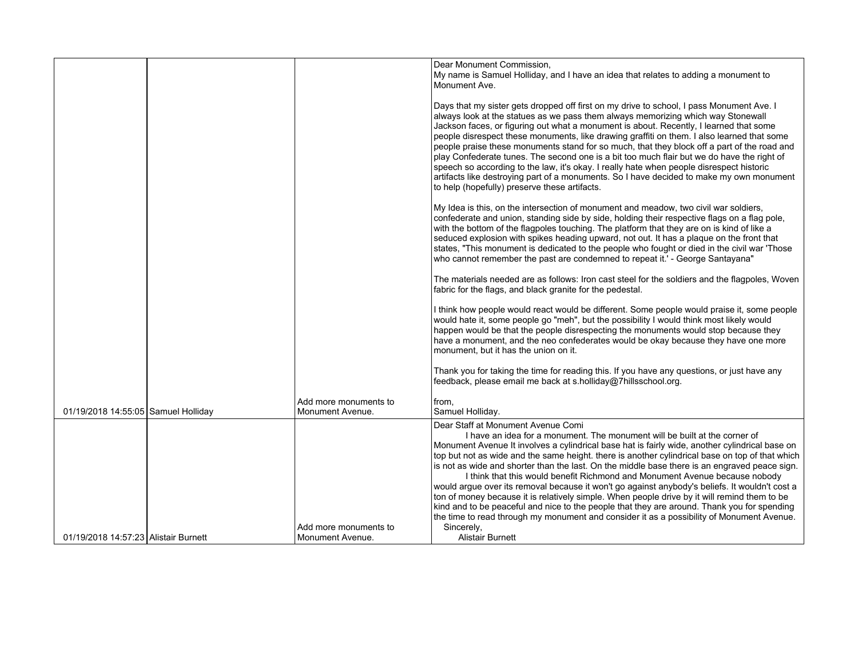|                                      |                                             | Dear Monument Commission,<br>My name is Samuel Holliday, and I have an idea that relates to adding a monument to<br>Monument Ave.                                                                                                                                                                                                                                                                                                                                                                                                                                                                                                                                                                                                                                                                                                                                                                   |
|--------------------------------------|---------------------------------------------|-----------------------------------------------------------------------------------------------------------------------------------------------------------------------------------------------------------------------------------------------------------------------------------------------------------------------------------------------------------------------------------------------------------------------------------------------------------------------------------------------------------------------------------------------------------------------------------------------------------------------------------------------------------------------------------------------------------------------------------------------------------------------------------------------------------------------------------------------------------------------------------------------------|
|                                      |                                             | Days that my sister gets dropped off first on my drive to school, I pass Monument Ave. I<br>always look at the statues as we pass them always memorizing which way Stonewall<br>Jackson faces, or figuring out what a monument is about. Recently, I learned that some<br>people disrespect these monuments, like drawing graffiti on them. I also learned that some<br>people praise these monuments stand for so much, that they block off a part of the road and<br>play Confederate tunes. The second one is a bit too much flair but we do have the right of<br>speech so according to the law, it's okay. I really hate when people disrespect historic<br>artifacts like destroying part of a monuments. So I have decided to make my own monument<br>to help (hopefully) preserve these artifacts.                                                                                          |
|                                      |                                             | My Idea is this, on the intersection of monument and meadow, two civil war soldiers,<br>confederate and union, standing side by side, holding their respective flags on a flag pole,<br>with the bottom of the flagpoles touching. The platform that they are on is kind of like a<br>seduced explosion with spikes heading upward, not out. It has a plaque on the front that<br>states, "This monument is dedicated to the people who fought or died in the civil war 'Those<br>who cannot remember the past are condemned to repeat it.' - George Santayana"                                                                                                                                                                                                                                                                                                                                     |
|                                      |                                             | The materials needed are as follows: Iron cast steel for the soldiers and the flagpoles, Woven<br>fabric for the flags, and black granite for the pedestal.                                                                                                                                                                                                                                                                                                                                                                                                                                                                                                                                                                                                                                                                                                                                         |
|                                      |                                             | I think how people would react would be different. Some people would praise it, some people<br>would hate it, some people go "meh", but the possibility I would think most likely would<br>happen would be that the people disrespecting the monuments would stop because they<br>have a monument, and the neo confederates would be okay because they have one more<br>monument, but it has the union on it.                                                                                                                                                                                                                                                                                                                                                                                                                                                                                       |
|                                      |                                             | Thank you for taking the time for reading this. If you have any questions, or just have any<br>feedback, please email me back at s.holliday@7hillsschool.org.                                                                                                                                                                                                                                                                                                                                                                                                                                                                                                                                                                                                                                                                                                                                       |
| 01/19/2018 14:55:05 Samuel Holliday  | Add more monuments to<br>Monument Avenue.   | from.<br>Samuel Holliday.                                                                                                                                                                                                                                                                                                                                                                                                                                                                                                                                                                                                                                                                                                                                                                                                                                                                           |
|                                      |                                             | Dear Staff at Monument Avenue Comi<br>I have an idea for a monument. The monument will be built at the corner of<br>Monument Avenue It involves a cylindrical base hat is fairly wide, another cylindrical base on<br>top but not as wide and the same height. there is another cylindrical base on top of that which<br>is not as wide and shorter than the last. On the middle base there is an engraved peace sign.<br>I think that this would benefit Richmond and Monument Avenue because nobody<br>would argue over its removal because it won't go against anybody's beliefs. It wouldn't cost a<br>ton of money because it is relatively simple. When people drive by it will remind them to be<br>kind and to be peaceful and nice to the people that they are around. Thank you for spending<br>the time to read through my monument and consider it as a possibility of Monument Avenue. |
| 01/19/2018 14:57:23 Alistair Burnett | Add more monuments to<br>l Monument Avenue. | Sincerely,<br><b>Alistair Burnett</b>                                                                                                                                                                                                                                                                                                                                                                                                                                                                                                                                                                                                                                                                                                                                                                                                                                                               |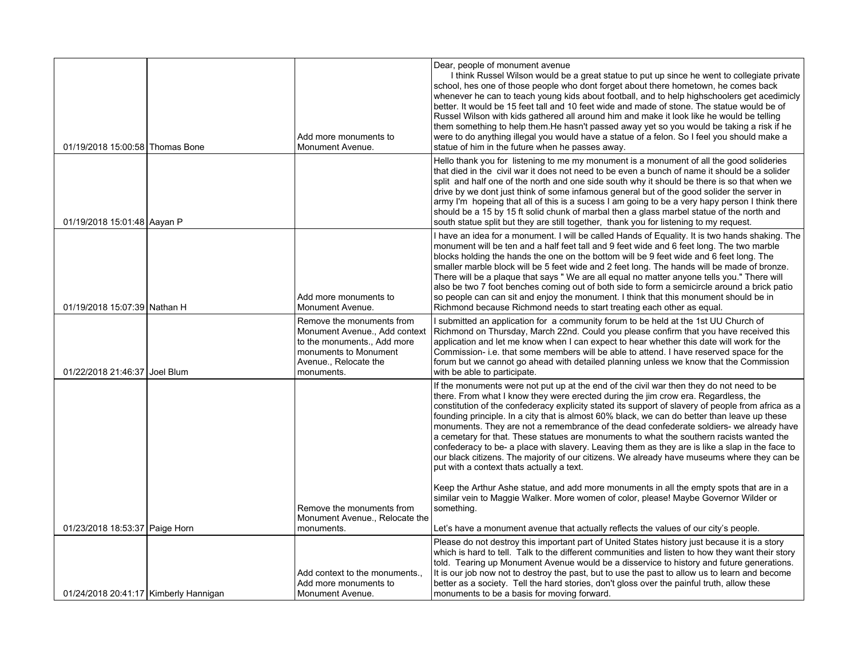| 01/19/2018 15:00:58 Thomas Bone       | Add more monuments to<br>Monument Avenue.                                                                                                                 | Dear, people of monument avenue<br>I think Russel Wilson would be a great statue to put up since he went to collegiate private<br>school, hes one of those people who dont forget about there hometown, he comes back<br>whenever he can to teach young kids about football, and to help highschoolers get acedimicly<br>better. It would be 15 feet tall and 10 feet wide and made of stone. The statue would be of<br>Russel Wilson with kids gathered all around him and make it look like he would be telling<br>them something to help them. He hasn't passed away yet so you would be taking a risk if he<br>were to do anything illegal you would have a statue of a felon. So I feel you should make a<br>statue of him in the future when he passes away.                                                         |
|---------------------------------------|-----------------------------------------------------------------------------------------------------------------------------------------------------------|----------------------------------------------------------------------------------------------------------------------------------------------------------------------------------------------------------------------------------------------------------------------------------------------------------------------------------------------------------------------------------------------------------------------------------------------------------------------------------------------------------------------------------------------------------------------------------------------------------------------------------------------------------------------------------------------------------------------------------------------------------------------------------------------------------------------------|
| 01/19/2018 15:01:48 Aayan P           |                                                                                                                                                           | Hello thank you for listening to me my monument is a monument of all the good solideries<br>that died in the civil war it does not need to be even a bunch of name it should be a solider<br>split and half one of the north and one side south why it should be there is so that when we<br>drive by we dont just think of some infamous general but of the good solider the server in<br>army I'm hopeing that all of this is a sucess I am going to be a very hapy person I think there<br>should be a 15 by 15 ft solid chunk of marbal then a glass marbel statue of the north and<br>south statue split but they are still together, thank you for listening to my request.                                                                                                                                          |
| 01/19/2018 15:07:39 Nathan H          | Add more monuments to<br>Monument Avenue.                                                                                                                 | I have an idea for a monument. I will be called Hands of Equality. It is two hands shaking. The<br>monument will be ten and a half feet tall and 9 feet wide and 6 feet long. The two marble<br>blocks holding the hands the one on the bottom will be 9 feet wide and 6 feet long. The<br>smaller marble block will be 5 feet wide and 2 feet long. The hands will be made of bronze.<br>There will be a plaque that says " We are all equal no matter anyone tells you." There will<br>also be two 7 foot benches coming out of both side to form a semicircle around a brick patio<br>so people can can sit and enjoy the monument. I think that this monument should be in<br>Richmond because Richmond needs to start treating each other as equal.                                                                   |
| 01/22/2018 21:46:37 Joel Blum         | Remove the monuments from<br>Monument Avenue., Add context<br>to the monuments., Add more<br>monuments to Monument<br>Avenue., Relocate the<br>monuments. | I submitted an application for a community forum to be held at the 1st UU Church of<br>Richmond on Thursday, March 22nd. Could you please confirm that you have received this<br>application and let me know when I can expect to hear whether this date will work for the<br>Commission- i.e. that some members will be able to attend. I have reserved space for the<br>forum but we cannot go ahead with detailed planning unless we know that the Commission<br>with be able to participate.                                                                                                                                                                                                                                                                                                                           |
|                                       |                                                                                                                                                           | If the monuments were not put up at the end of the civil war then they do not need to be<br>there. From what I know they were erected during the jim crow era. Regardless, the<br>constitution of the confederacy explicity stated its support of slavery of people from africa as a<br>founding principle. In a city that is almost 60% black, we can do better than leave up these<br>monuments. They are not a remembrance of the dead confederate soldiers- we already have<br>a cemetary for that. These statues are monuments to what the southern racists wanted the<br>confederacy to be- a place with slavery. Leaving them as they are is like a slap in the face to<br>our black citizens. The majority of our citizens. We already have museums where they can be<br>put with a context thats actually a text. |
|                                       | Remove the monuments from<br>Monument Avenue., Relocate the                                                                                               | Keep the Arthur Ashe statue, and add more monuments in all the empty spots that are in a<br>similar vein to Maggie Walker. More women of color, please! Maybe Governor Wilder or<br>something.                                                                                                                                                                                                                                                                                                                                                                                                                                                                                                                                                                                                                             |
| 01/23/2018 18:53:37 Paige Horn        | monuments.                                                                                                                                                | Let's have a monument avenue that actually reflects the values of our city's people.                                                                                                                                                                                                                                                                                                                                                                                                                                                                                                                                                                                                                                                                                                                                       |
|                                       | Add context to the monuments<br>Add more monuments to                                                                                                     | Please do not destroy this important part of United States history just because it is a story<br>which is hard to tell. Talk to the different communities and listen to how they want their story<br>told. Tearing up Monument Avenue would be a disservice to history and future generations.<br>It is our job now not to destroy the past, but to use the past to allow us to learn and become<br>better as a society. Tell the hard stories, don't gloss over the painful truth, allow these                                                                                                                                                                                                                                                                                                                            |
| 01/24/2018 20:41:17 Kimberly Hannigan | Monument Avenue.                                                                                                                                          | monuments to be a basis for moving forward.                                                                                                                                                                                                                                                                                                                                                                                                                                                                                                                                                                                                                                                                                                                                                                                |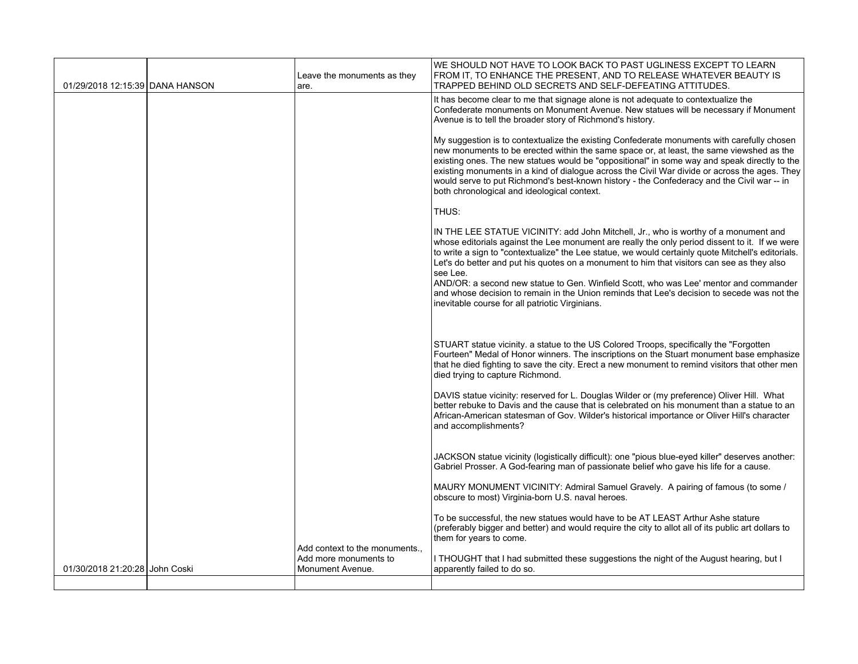| 01/29/2018 12:15:39 DANA HANSON | Leave the monuments as they<br>are.                                       | WE SHOULD NOT HAVE TO LOOK BACK TO PAST UGLINESS EXCEPT TO LEARN<br>FROM IT, TO ENHANCE THE PRESENT, AND TO RELEASE WHATEVER BEAUTY IS<br>TRAPPED BEHIND OLD SECRETS AND SELF-DEFEATING ATTITUDES.                                                                                                                                                                                                                                                                                                                                                                                                                                               |
|---------------------------------|---------------------------------------------------------------------------|--------------------------------------------------------------------------------------------------------------------------------------------------------------------------------------------------------------------------------------------------------------------------------------------------------------------------------------------------------------------------------------------------------------------------------------------------------------------------------------------------------------------------------------------------------------------------------------------------------------------------------------------------|
|                                 |                                                                           | It has become clear to me that signage alone is not adequate to contextualize the<br>Confederate monuments on Monument Avenue. New statues will be necessary if Monument<br>Avenue is to tell the broader story of Richmond's history.                                                                                                                                                                                                                                                                                                                                                                                                           |
|                                 |                                                                           | My suggestion is to contextualize the existing Confederate monuments with carefully chosen<br>new monuments to be erected within the same space or, at least, the same viewshed as the<br>existing ones. The new statues would be "oppositional" in some way and speak directly to the<br>existing monuments in a kind of dialogue across the Civil War divide or across the ages. They<br>would serve to put Richmond's best-known history - the Confederacy and the Civil war -- in<br>both chronological and ideological context.                                                                                                             |
|                                 |                                                                           | THUS:                                                                                                                                                                                                                                                                                                                                                                                                                                                                                                                                                                                                                                            |
|                                 |                                                                           | IN THE LEE STATUE VICINITY: add John Mitchell, Jr., who is worthy of a monument and<br>whose editorials against the Lee monument are really the only period dissent to it. If we were<br>to write a sign to "contextualize" the Lee statue, we would certainly quote Mitchell's editorials.<br>Let's do better and put his quotes on a monument to him that visitors can see as they also<br>see Lee.<br>AND/OR: a second new statue to Gen. Winfield Scott, who was Lee' mentor and commander<br>and whose decision to remain in the Union reminds that Lee's decision to secede was not the<br>inevitable course for all patriotic Virginians. |
|                                 |                                                                           | STUART statue vicinity. a statue to the US Colored Troops, specifically the "Forgotten"<br>Fourteen" Medal of Honor winners. The inscriptions on the Stuart monument base emphasize<br>that he died fighting to save the city. Erect a new monument to remind visitors that other men<br>died trying to capture Richmond.                                                                                                                                                                                                                                                                                                                        |
|                                 |                                                                           | DAVIS statue vicinity: reserved for L. Douglas Wilder or (my preference) Oliver Hill. What<br>better rebuke to Davis and the cause that is celebrated on his monument than a statue to an<br>African-American statesman of Gov. Wilder's historical importance or Oliver Hill's character<br>and accomplishments?                                                                                                                                                                                                                                                                                                                                |
|                                 |                                                                           | JACKSON statue vicinity (logistically difficult): one "pious blue-eyed killer" deserves another:<br>Gabriel Prosser. A God-fearing man of passionate belief who gave his life for a cause.                                                                                                                                                                                                                                                                                                                                                                                                                                                       |
|                                 |                                                                           | MAURY MONUMENT VICINITY: Admiral Samuel Gravely. A pairing of famous (to some /<br>obscure to most) Virginia-born U.S. naval heroes.                                                                                                                                                                                                                                                                                                                                                                                                                                                                                                             |
|                                 |                                                                           | To be successful, the new statues would have to be AT LEAST Arthur Ashe stature<br>(preferably bigger and better) and would require the city to allot all of its public art dollars to<br>them for years to come.                                                                                                                                                                                                                                                                                                                                                                                                                                |
| 01/30/2018 21:20:28 John Coski  | Add context to the monuments<br>Add more monuments to<br>Monument Avenue. | I THOUGHT that I had submitted these suggestions the night of the August hearing, but I<br>apparently failed to do so.                                                                                                                                                                                                                                                                                                                                                                                                                                                                                                                           |
|                                 |                                                                           |                                                                                                                                                                                                                                                                                                                                                                                                                                                                                                                                                                                                                                                  |